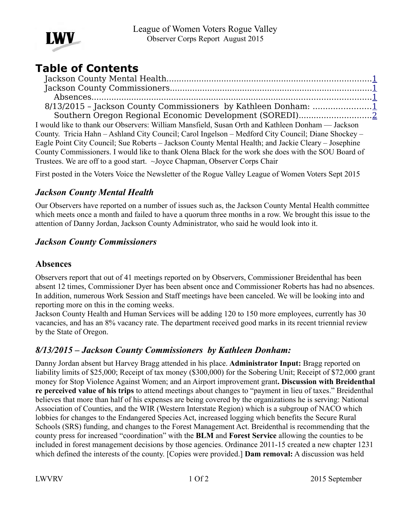

# **Table of Contents**

| 8/13/2015 - Jackson County Commissioners by Kathleen Donham: 1                                      |
|-----------------------------------------------------------------------------------------------------|
|                                                                                                     |
| I would like to thank our Observers: William Mansfield, Susan Orth and Kathleen Donham — Jackson    |
| County. Tricia Hahn – Ashland City Council; Carol Ingelson – Medford City Council; Diane Shockey –  |
| Eagle Point City Council; Sue Roberts – Jackson County Mental Health; and Jackie Cleary – Josephine |
| County Commissioners. I would like to thank Olena Black for the work she does with the SOU Board of |
| Trustees. We are off to a good start. ~Joyce Chapman, Observer Corps Chair                          |
|                                                                                                     |

First posted in the Voters Voice the Newsletter of the Rogue Valley League of Women Voters Sept 2015

# <span id="page-0-3"></span>*Jackson County Mental Health*

Our Observers have reported on a number of issues such as, the Jackson County Mental Health committee which meets once a month and failed to have a quorum three months in a row. We brought this issue to the attention of Danny Jordan, Jackson County Administrator, who said he would look into it.

## <span id="page-0-2"></span>*Jackson County Commissioners*

#### <span id="page-0-1"></span>**Absences**

Observers report that out of 41 meetings reported on by Observers, Commissioner Breidenthal has been absent 12 times, Commissioner Dyer has been absent once and Commissioner Roberts has had no absences. In addition, numerous Work Session and Staff meetings have been canceled. We will be looking into and reporting more on this in the coming weeks.

Jackson County Health and Human Services will be adding 120 to 150 more employees, currently has 30 vacancies, and has an 8% vacancy rate. The department received good marks in its recent triennial review by the State of Oregon.

## <span id="page-0-0"></span>*8/13/2015 – Jackson County Commissioners by Kathleen Donham:*

Danny Jordan absent but Harvey Bragg attended in his place. **Administrator Input:** Bragg reported on liability limits of \$25,000; Receipt of tax money (\$300,000) for the Sobering Unit; Receipt of \$72,000 grant money for Stop Violence Against Women; and an Airport improvement grant**. Discussion with Breidenthal re perceived value of his trips** to attend meetings about changes to "payment in lieu of taxes." Breidenthal believes that more than half of his expenses are being covered by the organizations he is serving: National Association of Counties, and the WIR (Western Interstate Region) which is a subgroup of NACO which lobbies for changes to the Endangered Species Act, increased logging which benefits the Secure Rural Schools (SRS) funding, and changes to the Forest Management Act. Breidenthal is recommending that the county press for increased "coordination" with the **BLM** and **Forest Service** allowing the counties to be included in forest management decisions by those agencies. Ordinance 2011-15 created a new chapter 1231 which defined the interests of the county. [Copies were provided.] **Dam removal:** A discussion was held